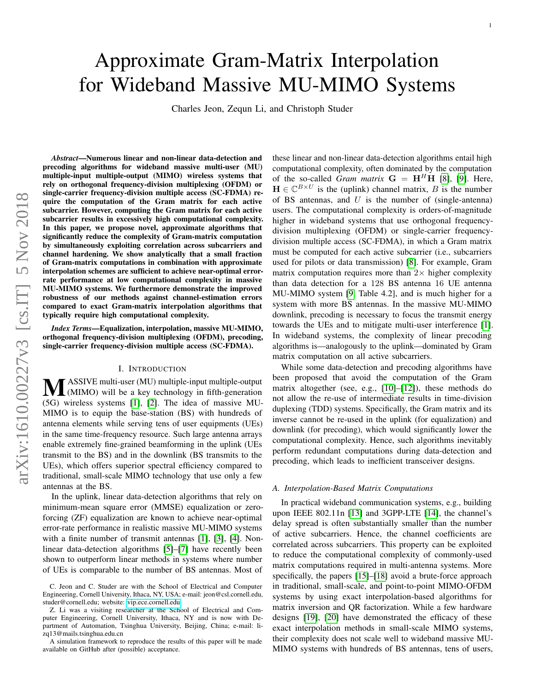# Approximate Gram-Matrix Interpolation for Wideband Massive MU-MIMO Systems

Charles Jeon, Zequn Li, and Christoph Studer

*Abstract*—Numerous linear and non-linear data-detection and precoding algorithms for wideband massive multi-user (MU) multiple-input multiple-output (MIMO) wireless systems that rely on orthogonal frequency-division multiplexing (OFDM) or single-carrier frequency-division multiple access (SC-FDMA) require the computation of the Gram matrix for each active subcarrier. However, computing the Gram matrix for each active subcarrier results in excessively high computational complexity. In this paper, we propose novel, approximate algorithms that significantly reduce the complexity of Gram-matrix computation by simultaneously exploiting correlation across subcarriers and channel hardening. We show analytically that a small fraction of Gram-matrix computations in combination with approximate interpolation schemes are sufficient to achieve near-optimal errorrate performance at low computational complexity in massive MU-MIMO systems. We furthermore demonstrate the improved robustness of our methods against channel-estimation errors compared to exact Gram-matrix interpolation algorithms that typically require high computational complexity.

*Index Terms*—Equalization, interpolation, massive MU-MIMO, orthogonal frequency-division multiplexing (OFDM), precoding, single-carrier frequency-division multiple access (SC-FDMA).

#### I. INTRODUCTION

**MASSIVE** multi-user (MU) multiple-input multiple-output<br>(MIMO) will be a key technology in fifth-generation<br>(K) wireless outcome [1] [2] The idea of massive MU (5G) wireless systems [\[1\]](#page-10-0), [\[2\]](#page-10-1). The idea of massive MU-MIMO is to equip the base-station (BS) with hundreds of antenna elements while serving tens of user equipments (UEs) in the same time-frequency resource. Such large antenna arrays enable extremely fine-grained beamforming in the uplink (UEs transmit to the BS) and in the downlink (BS transmits to the UEs), which offers superior spectral efficiency compared to traditional, small-scale MIMO technology that use only a few antennas at the BS.

In the uplink, linear data-detection algorithms that rely on minimum-mean square error (MMSE) equalization or zeroforcing (ZF) equalization are known to achieve near-optimal error-rate performance in realistic massive MU-MIMO systems with a finite number of transmit antennas [\[1\]](#page-10-0), [\[3\]](#page-10-2), [\[4\]](#page-10-3). Nonlinear data-detection algorithms [\[5\]](#page-10-4)–[\[7\]](#page-10-5) have recently been shown to outperform linear methods in systems where number of UEs is comparable to the number of BS antennas. Most of

A simulation framework to reproduce the results of this paper will be made available on GitHub after (possible) acceptance.

these linear and non-linear data-detection algorithms entail high computational complexity, often dominated by the computation of the so-called *Gram matrix*  $G = H<sup>H</sup>H$  [\[8\]](#page-10-6), [\[9\]](#page-10-7). Here,  $\mathbf{H} \in \mathbb{C}^{B \times U}$  is the (uplink) channel matrix, B is the number of BS antennas, and  $U$  is the number of (single-antenna) users. The computational complexity is orders-of-magnitude higher in wideband systems that use orthogonal frequencydivision multiplexing (OFDM) or single-carrier frequencydivision multiple access (SC-FDMA), in which a Gram matrix must be computed for each active subcarrier (i.e., subcarriers used for pilots or data transmission) [\[8\]](#page-10-6). For example, Gram matrix computation requires more than  $2\times$  higher complexity than data detection for a 128 BS antenna 16 UE antenna MU-MIMO system [\[9,](#page-10-7) Table 4.2], and is much higher for a system with more BS antennas. In the massive MU-MIMO downlink, precoding is necessary to focus the transmit energy towards the UEs and to mitigate multi-user interference [\[1\]](#page-10-0). In wideband systems, the complexity of linear precoding algorithms is—analogously to the uplink—dominated by Gram matrix computation on all active subcarriers.

While some data-detection and precoding algorithms have been proposed that avoid the computation of the Gram matrix altogether (see, e.g., [\[10\]](#page-10-8)–[\[12\]](#page-10-9)), these methods do not allow the re-use of intermediate results in time-division duplexing (TDD) systems. Specifically, the Gram matrix and its inverse cannot be re-used in the uplink (for equalization) and downlink (for precoding), which would significantly lower the computational complexity. Hence, such algorithms inevitably perform redundant computations during data-detection and precoding, which leads to inefficient transceiver designs.

#### *A. Interpolation-Based Matrix Computations*

In practical wideband communication systems, e.g., building upon IEEE 802.11n [\[13\]](#page-10-10) and 3GPP-LTE [\[14\]](#page-10-11), the channel's delay spread is often substantially smaller than the number of active subcarriers. Hence, the channel coefficients are correlated across subcarriers. This property can be exploited to reduce the computational complexity of commonly-used matrix computations required in multi-antenna systems. More specifically, the papers [\[15\]](#page-10-12)–[\[18\]](#page-10-13) avoid a brute-force approach in traditional, small-scale, and point-to-point MIMO-OFDM systems by using exact interpolation-based algorithms for matrix inversion and QR factorization. While a few hardware designs [\[19\]](#page-10-14), [\[20\]](#page-10-15) have demonstrated the efficacy of these exact interpolation methods in small-scale MIMO systems, their complexity does not scale well to wideband massive MU-MIMO systems with hundreds of BS antennas, tens of users,

C. Jeon and C. Studer are with the School of Electrical and Computer Engineering, Cornell University, Ithaca, NY, USA; e-mail: jeon@csl.cornell.edu, studer@cornell.edu; website:<vip.ece.cornell.edu>

Z. Li was a visiting researcher at the School of Electrical and Computer Engineering, Cornell University, Ithaca, NY and is now with Department of Automation, Tsinghua University, Beijing, China; e-mail: lizq13@mails.tsinghua.edu.cn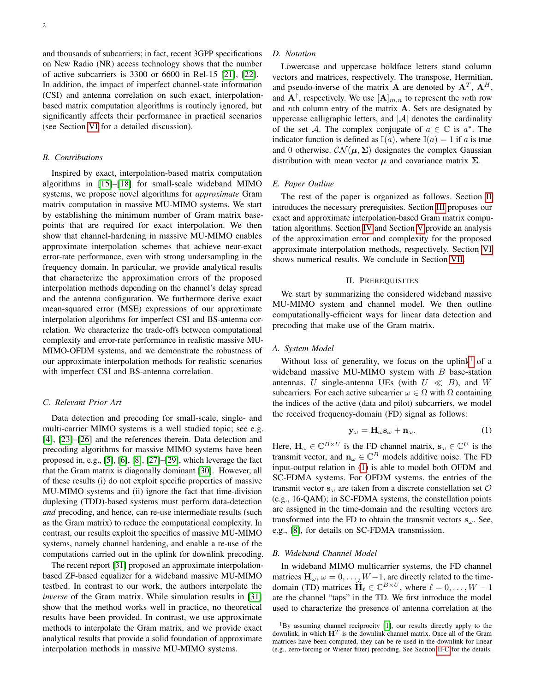and thousands of subcarriers; in fact, recent 3GPP specifications on New Radio (NR) access technology shows that the number of active subcarriers is 3300 or 6600 in Rel-15 [\[21\]](#page-10-16), [\[22\]](#page-10-17). In addition, the impact of imperfect channel-state information (CSI) and antenna correlation on such exact, interpolationbased matrix computation algorithms is routinely ignored, but significantly affects their performance in practical scenarios (see Section [VI](#page-5-0) for a detailed discussion).

## *B. Contributions*

Inspired by exact, interpolation-based matrix computation algorithms in [\[15\]](#page-10-12)–[\[18\]](#page-10-13) for small-scale wideband MIMO systems, we propose novel algorithms for *approximate* Gram matrix computation in massive MU-MIMO systems. We start by establishing the minimum number of Gram matrix basepoints that are required for exact interpolation. We then show that channel-hardening in massive MU-MIMO enables approximate interpolation schemes that achieve near-exact error-rate performance, even with strong undersampling in the frequency domain. In particular, we provide analytical results that characterize the approximation errors of the proposed interpolation methods depending on the channel's delay spread and the antenna configuration. We furthermore derive exact mean-squared error (MSE) expressions of our approximate interpolation algorithms for imperfect CSI and BS-antenna correlation. We characterize the trade-offs between computational complexity and error-rate performance in realistic massive MU-MIMO-OFDM systems, and we demonstrate the robustness of our approximate interpolation methods for realistic scenarios with imperfect CSI and BS-antenna correlation.

# *C. Relevant Prior Art*

Data detection and precoding for small-scale, single- and multi-carrier MIMO systems is a well studied topic; see e.g. [\[4\]](#page-10-3), [\[23\]](#page-10-18)–[\[26\]](#page-10-19) and the references therein. Data detection and precoding algorithms for massive MIMO systems have been proposed in, e.g., [\[5\]](#page-10-4), [\[6\]](#page-10-20), [\[8\]](#page-10-6), [\[27\]](#page-10-21)–[\[29\]](#page-11-0), which leverage the fact that the Gram matrix is diagonally dominant [\[30\]](#page-11-1). However, all of these results (i) do not exploit specific properties of massive MU-MIMO systems and (ii) ignore the fact that time-division duplexing (TDD)-based systems must perform data-detection *and* precoding, and hence, can re-use intermediate results (such as the Gram matrix) to reduce the computational complexity. In contrast, our results exploit the specifics of massive MU-MIMO systems, namely channel hardening, and enable a re-use of the computations carried out in the uplink for downlink precoding.

The recent report [\[31\]](#page-11-2) proposed an approximate interpolationbased ZF-based equalizer for a wideband massive MU-MIMO testbed. In contrast to our work, the authors interpolate the *inverse* of the Gram matrix. While simulation results in [\[31\]](#page-11-2) show that the method works well in practice, no theoretical results have been provided. In contrast, we use approximate methods to interpolate the Gram matrix, and we provide exact analytical results that provide a solid foundation of approximate interpolation methods in massive MU-MIMO systems.

#### *D. Notation*

Lowercase and uppercase boldface letters stand column vectors and matrices, respectively. The transpose, Hermitian, and pseudo-inverse of the matrix **A** are denoted by  $A<sup>T</sup>$ ,  $A<sup>H</sup>$ , and  $\mathbf{A}^{\dagger}$ , respectively. We use  $[\mathbf{A}]_{m,n}$  to represent the mth row and  $n$ th column entry of the matrix  $A$ . Sets are designated by uppercase calligraphic letters, and  $|\mathcal{A}|$  denotes the cardinality of the set A. The complex conjugate of  $a \in \mathbb{C}$  is  $a^*$ . The indicator function is defined as  $\mathbb{I}(a)$ , where  $\mathbb{I}(a) = 1$  if a is true and 0 otherwise.  $\mathcal{CN}(\mu, \Sigma)$  designates the complex Gaussian distribution with mean vector  $\mu$  and covariance matrix  $\Sigma$ .

#### *E. Paper Outline*

The rest of the paper is organized as follows. Section [II](#page-1-0) introduces the necessary prerequisites. Section [III](#page-2-0) proposes our exact and approximate interpolation-based Gram matrix computation algorithms. Section [IV](#page-3-0) and Section [V](#page-5-1) provide an analysis of the approximation error and complexity for the proposed approximate interpolation methods, respectively. Section [VI](#page-5-0) shows numerical results. We conclude in Section [VII.](#page-8-0)

#### II. PREREQUISITES

<span id="page-1-0"></span>We start by summarizing the considered wideband massive MU-MIMO system and channel model. We then outline computationally-efficient ways for linear data detection and precoding that make use of the Gram matrix.

#### *A. System Model*

Without loss of generality, we focus on the uplink<sup>[1](#page-1-1)</sup> of a wideband massive MU-MIMO system with  $B$  base-station antennas, U single-antenna UEs (with  $U \ll B$ ), and W subcarriers. For each active subcarrier  $\omega \in \Omega$  with  $\Omega$  containing the indices of the active (data and pilot) subcarriers, we model the received frequency-domain (FD) signal as follows:

<span id="page-1-2"></span>
$$
\mathbf{y}_{\omega} = \mathbf{H}_{\omega} \mathbf{s}_{\omega} + \mathbf{n}_{\omega}.
$$
 (1)

Here,  $\mathbf{H}_{\omega} \in \mathbb{C}^{B \times U}$  is the FD channel matrix,  $\mathbf{s}_{\omega} \in \mathbb{C}^{U}$  is the transmit vector, and  $\mathbf{n}_{\omega} \in \mathbb{C}^{B}$  models additive noise. The FD input-output relation in [\(1\)](#page-1-2) is able to model both OFDM and SC-FDMA systems. For OFDM systems, the entries of the transmit vector  $s_{\omega}$  are taken from a discrete constellation set  $\mathcal O$ (e.g., 16-QAM); in SC-FDMA systems, the constellation points are assigned in the time-domain and the resulting vectors are transformed into the FD to obtain the transmit vectors  $s_{\omega}$ . See, e.g., [\[8\]](#page-10-6), for details on SC-FDMA transmission.

# *B. Wideband Channel Model*

In wideband MIMO multicarrier systems, the FD channel matrices  $\mathbf{H}_{\omega}, \omega = 0, \ldots, W-1$ , are directly related to the timedomain (TD) matrices  $\widehat{\mathbf{H}}_{\ell} \in \mathbb{C}^{B \times U}$ , where  $\ell = 0, \ldots, W - 1$ are the channel "taps" in the TD. We first introduce the model used to characterize the presence of antenna correlation at the

<span id="page-1-1"></span><sup>&</sup>lt;sup>1</sup>By assuming channel reciprocity [\[1\]](#page-10-0), our results directly apply to the downlink, in which  $H<sup>T</sup>$  is the downlink channel matrix. Once all of the Gram matrices have been computed, they can be re-used in the downlink for linear (e.g., zero-forcing or Wiener filter) precoding. See Section [II-C](#page-2-1) for the details.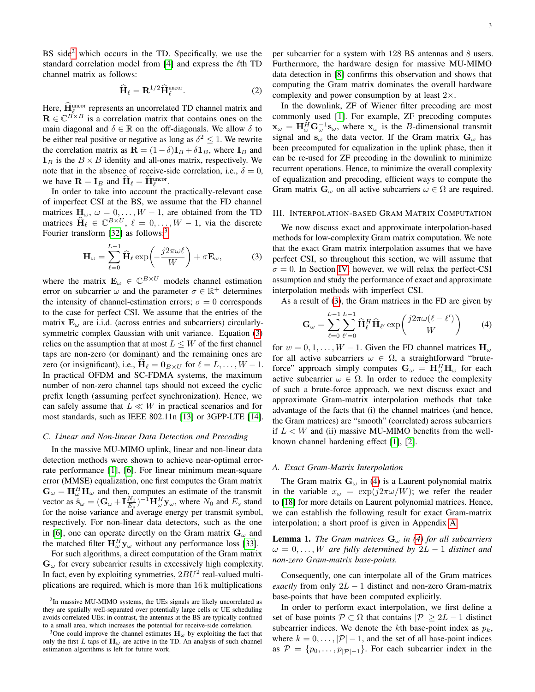$$
\widehat{\mathbf{H}}_{\ell} = \mathbf{R}^{1/2} \widehat{\mathbf{H}}_{\ell}^{\text{uncor}}.
$$
 (2)

Here,  $\hat{H}_{\ell}^{\text{uncor}}$  represents an uncorrelated TD channel matrix and  $\mathbf{R} \in \mathbb{C}^{B \times B}$  is a correlation matrix that contains ones on the main diagonal and  $\delta \in \mathbb{R}$  on the off-diagonals. We allow  $\delta$  to be either real positive or negative as long as  $\delta^2 \leq 1$ . We rewrite the correlation matrix as  $\mathbf{R} = (1 - \delta) \mathbf{I}_B + \delta \mathbf{1}_B$ , where  $\mathbf{I}_B$  and  $\mathbf{1}_B$  is the  $B \times B$  identity and all-ones matrix, respectively. We note that in the absence of receive-side correlation, i.e.,  $\delta = 0$ , we have  $\mathbf{R} = \mathbf{I}_B$  and  $\hat{\mathbf{H}}_{\ell} = \hat{\mathbf{H}}_{\ell}^{\text{uncor}}$ .

In order to take into account the practically-relevant case of imperfect CSI at the BS, we assume that the FD channel matrices  $H_{\omega}$ ,  $\omega = 0, \ldots, W - 1$ , are obtained from the TD matrices  $\widehat{\mathbf{H}}_{\ell} \in \mathbb{C}^{B \times U}$ ,  $\ell = 0, \ldots, W - 1$ , via the discrete Fourier transform [\[32\]](#page-11-3) as follows:<sup>[3](#page-2-3)</sup>

$$
\mathbf{H}_{\omega} = \sum_{\ell=0}^{L-1} \widehat{\mathbf{H}}_{\ell} \exp\left(-\frac{j2\pi\omega\ell}{W}\right) + \sigma \mathbf{E}_{\omega},\tag{3}
$$

where the matrix  $\mathbf{E}_{\omega} \in \mathbb{C}^{B \times U}$  models channel estimation error on subcarrier  $\omega$  and the parameter  $\sigma \in \mathbb{R}^+$  determines the intensity of channel-estimation errors;  $\sigma = 0$  corresponds to the case for perfect CSI. We assume that the entries of the matrix  $\mathbf{E}_{\omega}$  are i.i.d. (across entries and subcarriers) circularlysymmetric complex Gaussian with unit variance. Equation [\(3\)](#page-2-4) relies on the assumption that at most  $L \leq W$  of the first channel taps are non-zero (or dominant) and the remaining ones are zero (or insignificant), i.e.,  $\hat{H}_{\ell} = \mathbf{0}_{B \times U}$  for  $\ell = L, \dots, W - 1$ . In practical OFDM and SC-FDMA systems, the maximum number of non-zero channel taps should not exceed the cyclic prefix length (assuming perfect synchronization). Hence, we can safely assume that  $L \ll W$  in practical scenarios and for most standards, such as IEEE 802.11n [\[13\]](#page-10-10) or 3GPP-LTE [\[14\]](#page-10-11).

#### <span id="page-2-1"></span>*C. Linear and Non-linear Data Detection and Precoding*

In the massive MU-MIMO uplink, linear and non-linear data detection methods were shown to achieve near-optimal errorrate performance [\[1\]](#page-10-0), [\[6\]](#page-10-20). For linear minimum mean-square error (MMSE) equalization, one first computes the Gram matrix  $\mathbf{G}_{\omega} = \mathbf{H}_{\omega}^H \mathbf{H}_{\omega}$  and then, computes an estimate of the transmit vector as  $\hat{\mathbf{s}}_{\omega} = (\mathbf{G}_{\omega} + \mathbf{I}_{E_s}^{N_0})^{-1} \mathbf{H}_{\omega}^H \mathbf{y}_{\omega}$ , where  $N_0$  and  $E_s$  stand for the noise variance and average energy per transmit symbol, respectively. For non-linear data detectors, such as the one in [\[6\]](#page-10-20), one can operate directly on the Gram matrix  $G_{\omega}$  and the matched filter  $\mathbf{H}_{\omega}^H \mathbf{y}_{\omega}$  without any performance loss [\[33\]](#page-11-4).

For such algorithms, a direct computation of the Gram matrix  $G_{\omega}$  for every subcarrier results in excessively high complexity. In fact, even by exploiting symmetries,  $2BU^2$  real-valued multiplications are required, which is more than 16 k multiplications

per subcarrier for a system with 128 BS antennas and 8 users. Furthermore, the hardware design for massive MU-MIMO data detection in [\[8\]](#page-10-6) confirms this observation and shows that computing the Gram matrix dominates the overall hardware complexity and power consumption by at least  $2\times$ .

<span id="page-2-7"></span>In the downlink, ZF of Wiener filter precoding are most commonly used [\[1\]](#page-10-0). For example, ZF precoding computes  $\mathbf{x}_{\omega} = \mathbf{H}_{\omega}^H \mathbf{G}_{\omega}^{-1} \mathbf{s}_{\omega}$ , where  $\mathbf{x}_{\omega}$  is the *B*-dimensional transmit signal and  $s_{\omega}$  the data vector. If the Gram matrix  $G_{\omega}$  has been precomputed for equalization in the uplink phase, then it can be re-used for ZF precoding in the downlink to minimize recurrent operations. Hence, to minimize the overall complexity of equalization and precoding, efficient ways to compute the Gram matrix  $\mathbf{G}_{\omega}$  on all active subcarriers  $\omega \in \Omega$  are required.

#### <span id="page-2-0"></span>III. INTERPOLATION-BASED GRAM MATRIX COMPUTATION

<span id="page-2-4"></span>We now discuss exact and approximate interpolation-based methods for low-complexity Gram matrix computation. We note that the exact Gram matrix interpolation assumes that we have perfect CSI, so throughout this section, we will assume that  $\sigma = 0$ . In Section [IV,](#page-3-0) however, we will relax the perfect-CSI assumption and study the performance of exact and approximate interpolation methods with imperfect CSI.

As a result of [\(3\)](#page-2-4), the Gram matrices in the FD are given by

<span id="page-2-5"></span>
$$
\mathbf{G}_{\omega} = \sum_{\ell=0}^{L-1} \sum_{\ell'=0}^{L-1} \widehat{\mathbf{H}}_{\ell}^{H} \widehat{\mathbf{H}}_{\ell'} \exp\left(\frac{j2\pi\omega(\ell-\ell')}{W}\right) \tag{4}
$$

for  $w = 0, 1, \ldots, W - 1$ . Given the FD channel matrices  $H_{\omega}$ for all active subcarriers  $\omega \in \Omega$ , a straightforward "bruteforce" approach simply computes  $\mathbf{G}_{\omega} = \mathbf{H}_{\omega}^H \mathbf{H}_{\omega}$  for each active subcarrier  $\omega \in \Omega$ . In order to reduce the complexity of such a brute-force approach, we next discuss exact and approximate Gram-matrix interpolation methods that take advantage of the facts that (i) the channel matrices (and hence, the Gram matrices) are "smooth" (correlated) across subcarriers if  $L < W$  and (ii) massive MU-MIMO benefits from the wellknown channel hardening effect [\[1\]](#page-10-0), [\[2\]](#page-10-1).

#### <span id="page-2-6"></span>*A. Exact Gram-Matrix Interpolation*

The Gram matrix  $G_{\omega}$  in [\(4\)](#page-2-5) is a Laurent polynomial matrix in the variable  $x_{\omega} = \exp(j2\pi\omega/W)$ ; we refer the reader to [\[18\]](#page-10-13) for more details on Laurent polynomial matrices. Hence, we can establish the following result for exact Gram-matrix interpolation; a short proof is given in Appendix [A.](#page-8-1)

<span id="page-2-8"></span>**Lemma 1.** *The Gram matrices*  $G_{\omega}$  *in [\(4\)](#page-2-5) for all subcarriers*  $\omega = 0, \ldots, W$  are fully determined by  $2L - 1$  distinct and *non-zero Gram-matrix base-points.*

Consequently, one can interpolate all of the Gram matrices *exactly* from only  $2L - 1$  distinct and non-zero Gram-matrix base-points that have been computed explicitly.

In order to perform exact interpolation, we first define a set of base points  $P \subset \Omega$  that contains  $|P| \geq 2L - 1$  distinct subcarrier indices. We denote the kth base-point index as  $p_k$ , where  $k = 0, \ldots, |\mathcal{P}| - 1$ , and the set of all base-point indices as  $\mathcal{P} = \{p_0, \ldots, p_{|\mathcal{P}|-1}\}.$  For each subcarrier index in the

<span id="page-2-2"></span><sup>&</sup>lt;sup>2</sup>In massive MU-MIMO systems, the UEs signals are likely uncorrelated as they are spatially well-separated over potentially large cells or UE scheduling avoids correlated UEs; in contrast, the antennas at the BS are typically confined to a small area, which increases the potential for receive-side correlation.

<span id="page-2-3"></span><sup>&</sup>lt;sup>3</sup>One could improve the channel estimates  $H_{\omega}$  by exploiting the fact that only the first L taps of  $H_{\omega}$  are active in the TD. An analysis of such channel estimation algorithms is left for future work.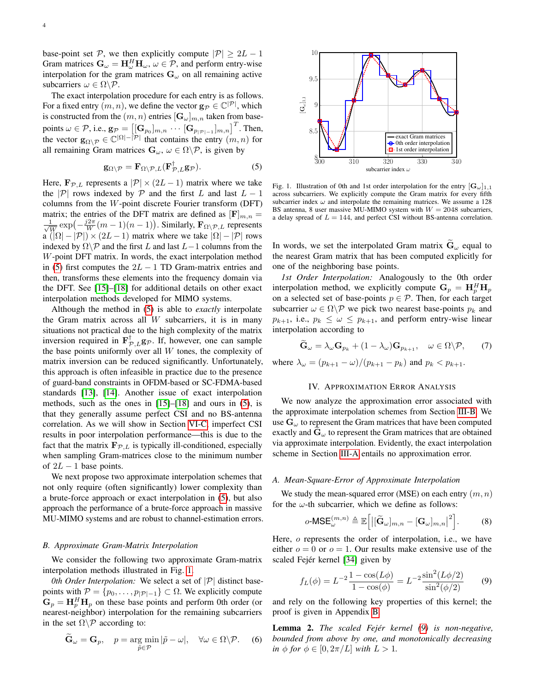base-point set P, we then explicitly compute  $|\mathcal{P}| \geq 2L - 1$ Gram matrices  $\mathbf{G}_{\omega} = \mathbf{H}_{\omega}^H \mathbf{H}_{\omega}, \omega \in \mathcal{P}$ , and perform entry-wise interpolation for the gram matrices  $G_{\omega}$  on all remaining active subcarriers  $\omega \in \Omega \backslash \mathcal{P}$ .

The exact interpolation procedure for each entry is as follows. For a fixed entry  $(m, n)$ , we define the vector  $\mathbf{g}_{\mathcal{P}} \in \mathbb{C}^{|\mathcal{P}|}$ , which is constructed from the  $(m, n)$  entries  $[\mathbf{G}_{\omega}]_{m,n}$  taken from basepoints  $\omega \in \mathcal{P}$ , i.e.,  $g_{\mathcal{P}} = \left[\left[\mathbf{G}_{p_0}\right]_{m,n} \cdots \left[\mathbf{G}_{p_{|\mathcal{P}|-1}}\right]_{m,n}\right]^T$ . Then, the vector  $\mathbf{g}_{\Omega \setminus \mathcal{P}} \in \mathbb{C}^{|\Omega| - |\mathcal{P}|}$  that contains the entry  $(m, n)$  for all remaining Gram matrices  $\mathbf{G}_{\omega}$ ,  $\omega \in \Omega \backslash \mathcal{P}$ , is given by

$$
\mathbf{g}_{\Omega\setminus\mathcal{P}} = \mathbf{F}_{\Omega\setminus\mathcal{P},L}(\mathbf{F}_{\mathcal{P},L}^{\dagger}\mathbf{g}_{\mathcal{P}}).
$$
 (5)

Here,  $\mathbf{F}_{\mathcal{P},L}$  represents a  $|\mathcal{P}| \times (2L-1)$  matrix where we take the |P| rows indexed by P and the first L and last  $L - 1$ columns from the W-point discrete Fourier transform (DFT) matrix; the entries of the DFT matrix are defined as  $[\mathbf{F}]_{m,n} =$  $\frac{1}{2}$  $\frac{1}{W}$  exp $\left(-\frac{j2\pi}{W}(m-1)(n-1)\right)$ . Similarly,  $\mathbf{F}_{\Omega \setminus \mathcal{P}, L}$  represents  $\alpha$  ( $|\Omega| - |\mathcal{P}| \times (2L - 1)$  matrix where we take  $|\Omega| - |\mathcal{P}|$  rows indexed by  $\Omega \backslash \mathcal{P}$  and the first L and last  $L-1$  columns from the W-point DFT matrix. In words, the exact interpolation method in [\(5\)](#page-3-1) first computes the  $2L - 1$  TD Gram-matrix entries and then, transforms these elements into the frequency domain via the DFT. See [\[15\]](#page-10-12)–[\[18\]](#page-10-13) for additional details on other exact interpolation methods developed for MIMO systems.

Although the method in [\(5\)](#page-3-1) is able to *exactly* interpolate the Gram matrix across all  $W$  subcarriers, it is in many situations not practical due to the high complexity of the matrix inversion required in  $\mathbf{F}_{\mathcal{P},L}^{\dagger} \mathbf{g}_{\mathcal{P}}$ . If, however, one can sample the base points uniformly over all  $W$  tones, the complexity of matrix inversion can be reduced significantly. Unfortunately, this approach is often infeasible in practice due to the presence of guard-band constraints in OFDM-based or SC-FDMA-based standards [\[13\]](#page-10-10), [\[14\]](#page-10-11). Another issue of exact interpolation methods, such as the ones in [\[15\]](#page-10-12)–[\[18\]](#page-10-13) and ours in [\(5\)](#page-3-1), is that they generally assume perfect CSI and no BS-antenna correlation. As we will show in Section [VI-C,](#page-6-0) imperfect CSI results in poor interpolation performance—this is due to the fact that the matrix  $\mathbf{F}_{\mathcal{P},L}$  is typically ill-conditioned, especially when sampling Gram-matrices close to the minimum number of  $2L - 1$  base points.

We next propose two approximate interpolation schemes that not only require (often significantly) lower complexity than a brute-force approach or exact interpolation in [\(5\)](#page-3-1), but also approach the performance of a brute-force approach in massive MU-MIMO systems and are robust to channel-estimation errors.

#### <span id="page-3-3"></span>*B. Approximate Gram-Matrix Interpolation*

We consider the following two approximate Gram-matrix interpolation methods illustrated in Fig. [1.](#page-3-2)

*0th Order Interpolation:* We select a set of  $|\mathcal{P}|$  distinct basepoints with  $\mathcal{P} = \{p_0, \ldots, p_{|\mathcal{P}|-1}\} \subset \Omega$ . We explicitly compute  $G_p = H_p^H H_p$  on these base points and perform 0th order (or nearest-neighbor) interpolation for the remaining subcarriers in the set  $\Omega \backslash \mathcal{P}$  according to:

$$
\widetilde{\mathbf{G}}_{\omega} = \mathbf{G}_p, \quad p = \underset{\widetilde{p} \in \mathcal{P}}{\arg \min} |\widetilde{p} - \omega|, \quad \forall \omega \in \Omega \backslash \mathcal{P}. \tag{6}
$$



<span id="page-3-2"></span><span id="page-3-1"></span>Fig. 1. Illustration of 0th and 1st order interpolation for the entry  $[\mathbf{G}_{\omega}]_{1,1}$ across subcarriers. We explicitly compute the Gram matrix for every fifth subcarrier index  $\omega$  and interpolate the remaining matrices. We assume a 128 BS antenna, 8 user massive MU-MIMO system with  $W = 2048$  subcarriers, a delay spread of  $L = 144$ , and perfect CSI without BS-antenna correlation.

In words, we set the interpolated Gram matrix  $\tilde{G}_{\omega}$  equal to the nearest Gram matrix that has been computed explicitly for one of the neighboring base points.

*1st Order Interpolation:* Analogously to the 0th order interpolation method, we explicitly compute  $G_p = H_p^H H_p$ on a selected set of base-points  $p \in \mathcal{P}$ . Then, for each target subcarrier  $\omega \in \Omega \backslash \mathcal{P}$  we pick two nearest base-points  $p_k$  and  $p_{k+1}$ , i.e.,  $p_k \leq \omega \leq p_{k+1}$ , and perform entry-wise linear interpolation according to

$$
\widetilde{\mathbf{G}}_{\omega} = \lambda_{\omega} \mathbf{G}_{p_k} + (1 - \lambda_{\omega}) \mathbf{G}_{p_{k+1}}, \quad \omega \in \Omega \backslash \mathcal{P}, \qquad (7)
$$

where  $\lambda_{\omega} = (p_{k+1} - \omega)/(p_{k+1} - p_k)$  and  $p_k < p_{k+1}$ .

#### IV. APPROXIMATION ERROR ANALYSIS

<span id="page-3-0"></span>We now analyze the approximation error associated with the approximate interpolation schemes from Section [III-B.](#page-3-3) We use  $G_{\omega}$  to represent the Gram matrices that have been computed exactly and  $G_{\omega}$  to represent the Gram matrices that are obtained via approximate interpolation. Evidently, the exact interpolation scheme in Section [III-A](#page-2-6) entails no approximation error.

# *A. Mean-Square-Error of Approximate Interpolation*

We study the mean-squared error (MSE) on each entry  $(m, n)$ for the  $\omega$ -th subcarrier, which we define as follows:

<span id="page-3-7"></span>
$$
o\text{-MSE}_{\omega}^{(m,n)} \triangleq \mathbb{E}\Big[\big|\big[\widetilde{\mathbf{G}}_{\omega}\big]_{m,n} - \big[\mathbf{G}_{\omega}\big]_{m,n}\big|^2\Big].\tag{8}
$$

Here, o represents the order of interpolation, i.e., we have either  $o = 0$  or  $o = 1$ . Our results make extensive use of the scaled Fejér kernel [\[34\]](#page-11-5) given by

<span id="page-3-4"></span>
$$
f_L(\phi) = L^{-2} \frac{1 - \cos(L\phi)}{1 - \cos(\phi)} = L^{-2} \frac{\sin^2(L\phi/2)}{\sin^2(\phi/2)} \tag{9}
$$

and rely on the following key properties of this kernel; the proof is given in Appendix [B.](#page-8-2)

<span id="page-3-6"></span><span id="page-3-5"></span>Lemma 2. *The scaled Fejér kernel [\(9\)](#page-3-4) is non-negative, bounded from above by one, and monotonically decreasing in*  $\phi$  *for*  $\phi \in [0, 2\pi/L]$  *with*  $L > 1$ *.*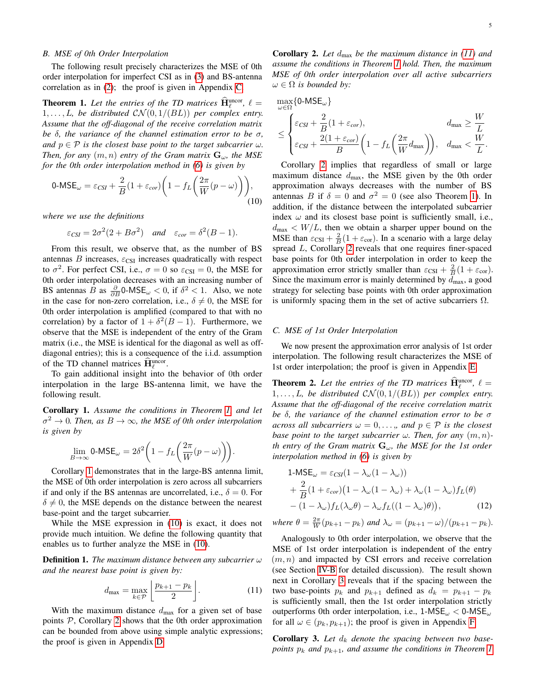## <span id="page-4-5"></span>*B. MSE of 0th Order Interpolation*

The following result precisely characterizes the MSE of 0th order interpolation for imperfect CSI as in [\(3\)](#page-2-4) and BS-antenna correlation as in [\(2\)](#page-2-7); the proof is given in Appendix [C.](#page-8-3)

<span id="page-4-0"></span>**Theorem 1.** Let the entries of the TD matrices  $\widehat{H}_{\ell}^{\text{uncor}}, \ell =$  $1, \ldots, L$ , be distributed  $\mathcal{CN}(0, 1/(BL))$  per complex entry. *Assume that the off-diagonal of the receive correlation matrix be* δ*, the variance of the channel estimation error to be* σ*, and*  $p \in \mathcal{P}$  *is the closest base point to the target subcarrier*  $\omega$ *. Then, for any*  $(m, n)$  *entry of the Gram matrix*  $\mathbf{G}_{\omega}$ *, the MSE for the 0th order interpolation method in [\(6\)](#page-3-5) is given by*

$$
0\text{-MSE}_{\omega} = \varepsilon_{CSI} + \frac{2}{B}(1 + \varepsilon_{cor})\bigg(1 - f_L\bigg(\frac{2\pi}{W}(p - \omega)\bigg)\bigg),\tag{10}
$$

*where we use the definitions*

$$
\varepsilon_{CSI} = 2\sigma^2(2 + B\sigma^2)
$$
 and  $\varepsilon_{cor} = \delta^2(B - 1)$ .

From this result, we observe that, as the number of BS antennas  $B$  increases,  $\varepsilon_{\text{CSI}}$  increases quadratically with respect to  $\sigma^2$ . For perfect CSI, i.e.,  $\sigma = 0$  so  $\varepsilon_{\text{CSI}} = 0$ , the MSE for 0th order interpolation decreases with an increasing number of BS antennas B as  $\frac{\partial}{\partial B}$ 0-MSE<sub>ω</sub> < 0, if  $\delta^2$  < 1. Also, we note in the case for non-zero correlation, i.e.,  $\delta \neq 0$ , the MSE for 0th order interpolation is amplified (compared to that with no correlation) by a factor of  $1 + \delta^2(B - 1)$ . Furthermore, we observe that the MSE is independent of the entry of the Gram matrix (i.e., the MSE is identical for the diagonal as well as offdiagonal entries); this is a consequence of the i.i.d. assumption of the TD channel matrices  $\hat{H}_{\ell}^{\text{uncor}}$ .

To gain additional insight into the behavior of 0th order interpolation in the large BS-antenna limit, we have the following result.

<span id="page-4-1"></span>Corollary 1. *Assume the conditions in Theorem [1,](#page-4-0) and let*  $\sigma^2 \to 0$ . Then, as  $B \to \infty$ , the MSE of 0th order interpolation *is given by*

$$
\lim_{B \to \infty} \text{0-MSE}_{\omega} = 2\delta^2 \bigg( 1 - f_L \bigg( \frac{2\pi}{W} (p - \omega) \bigg) \bigg).
$$

Corollary [1](#page-4-1) demonstrates that in the large-BS antenna limit, the MSE of 0th order interpolation is zero across all subcarriers if and only if the BS antennas are uncorrelated, i.e.,  $\delta = 0$ . For  $\delta \neq 0$ , the MSE depends on the distance between the nearest base-point and the target subcarrier.

While the MSE expression in [\(10\)](#page-4-2) is exact, it does not provide much intuition. We define the following quantity that enables us to further analyze the MSE in [\(10\)](#page-4-2).

Definition 1. *The maximum distance between any subcarrier* ω *and the nearest base point is given by:*

$$
d_{\max} = \max_{k \in \mathcal{P}} \left[ \frac{p_{k+1} - p_k}{2} \right]. \tag{11}
$$

With the maximum distance  $d_{\text{max}}$  for a given set of base points  $P$ , Corollary [2](#page-4-3) shows that the 0th order approximation can be bounded from above using simple analytic expressions; the proof is given in Appendix [D.](#page-9-0)

<span id="page-4-3"></span>**Corollary 2.** Let  $d_{\text{max}}$  be the maximum distance in [\(11\)](#page-4-4) and *assume the conditions in Theorem [1](#page-4-0) hold. Then, the maximum MSE of 0th order interpolation over all active subcarriers*  $\omega \in \Omega$  *is bounded by:* 

$$
\max_{\omega \in \Omega} \{ 0\text{-MSE}_{\omega} \} \n\leq \begin{cases} \varepsilon_{CSI} + \frac{2}{B}(1 + \varepsilon_{cor}), & d_{\max} \geq \frac{W}{L} \\ \varepsilon_{CSI} + \frac{2(1 + \varepsilon_{cor})}{B}\left(1 - f_L\left(\frac{2\pi}{W}d_{\max}\right)\right), & d_{\max} < \frac{W}{L}. \end{cases}
$$

<span id="page-4-2"></span>Corollary [2](#page-4-3) implies that regardless of small or large maximum distance  $d_{\text{max}}$ , the MSE given by the 0th order approximation always decreases with the number of BS antennas B if  $\delta = 0$  and  $\sigma^2 = 0$  (see also Theorem [1\)](#page-4-0). In addition, if the distance between the interpolated subcarrier index  $\omega$  and its closest base point is sufficiently small, i.e.,  $d_{\text{max}} < W/L$ , then we obtain a sharper upper bound on the MSE than  $\varepsilon_{\text{CSI}} + \frac{2}{B}(1 + \varepsilon_{\text{cor}})$ . In a scenario with a large delay spread L, Corollary [2](#page-4-3) reveals that one requires finer-spaced base points for 0th order interpolation in order to keep the approximation error strictly smaller than  $\varepsilon_{\text{CSI}} + \frac{2}{B}(1 + \varepsilon_{\text{cor}})$ . Since the maximum error is mainly determined by  $d_{\text{max}}$ , a good strategy for selecting base points with 0th order approximation is uniformly spacing them in the set of active subcarriers  $\Omega$ .

#### *C. MSE of 1st Order Interpolation*

We now present the approximation error analysis of 1st order interpolation. The following result characterizes the MSE of 1st order interpolation; the proof is given in Appendix [E.](#page-9-1)

<span id="page-4-6"></span>**Theorem 2.** Let the entries of the TD matrices  $\hat{\mathbf{H}}_{\ell}^{\text{uncor}}, \ell =$  $1, \ldots, L$ , be distributed  $\mathcal{CN}(0, 1/(BL))$  per complex entry. *Assume that the off-diagonal of the receive correlation matrix be* δ*, the variance of the channel estimation error to be* σ *across all subcarriers*  $\omega = 0, \ldots$ *, and*  $p \in \mathcal{P}$  *is the closest base point to the target subcarrier*  $\omega$ *. Then, for any*  $(m, n)$ *th entry of the Gram matrix* Gω*, the MSE for the 1st order interpolation method in [\(6\)](#page-3-5) is given by*

$$
1\text{-MSE}_{\omega} = \varepsilon_{CSI}(1 - \lambda_{\omega}(1 - \lambda_{\omega}))
$$
  
+  $\frac{2}{B}(1 + \varepsilon_{cor})(1 - \lambda_{\omega}(1 - \lambda_{\omega}) + \lambda_{\omega}(1 - \lambda_{\omega})f_L(\theta))$   
-  $(1 - \lambda_{\omega})f_L(\lambda_{\omega}\theta) - \lambda_{\omega}f_L((1 - \lambda_{\omega})\theta)),$  (12)

*where*  $\theta = \frac{2\pi}{W}(p_{k+1} - p_k)$  *and*  $\lambda_{\omega} = (p_{k+1} - \omega)/(p_{k+1} - p_k)$ *.* 

<span id="page-4-4"></span>Analogously to 0th order interpolation, we observe that the MSE of 1st order interpolation is independent of the entry  $(m, n)$  and impacted by CSI errors and receive correlation (see Section [IV-B](#page-4-5) for detailed discussion). The result shown next in Corollary [3](#page-5-2) reveals that if the spacing between the two base-points  $p_k$  and  $p_{k+1}$  defined as  $d_k = p_{k+1} - p_k$ is sufficiently small, then the 1st order interpolation strictly outperforms 0th order interpolation, i.e.,  $1\text{-MSE}_{\omega} < 0\text{-MSE}_{\omega}$ for all  $\omega \in (p_k, p_{k+1})$ ; the proof is given in Appendix [F.](#page-9-2)

**Corollary 3.** Let  $d_k$  denote the spacing between two base*points*  $p_k$  *and*  $p_{k+1}$ *, and assume the conditions in Theorem [1](#page-4-0)*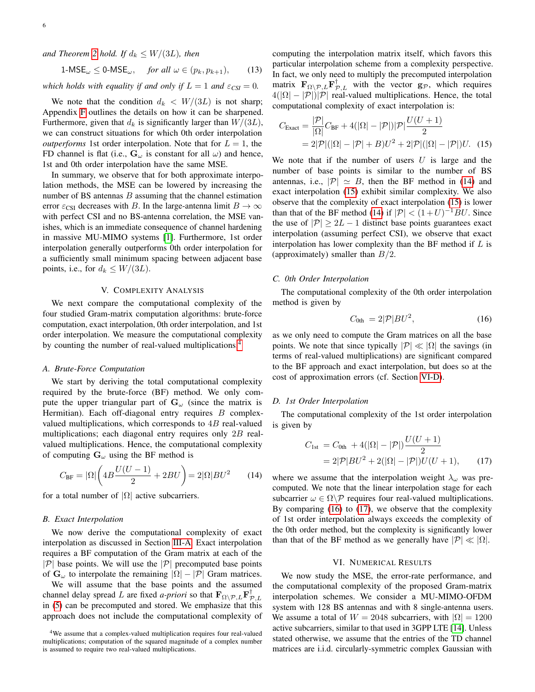*and Theorem [2](#page-4-6) hold. If*  $d_k \leq W/(3L)$ *, then* 

$$
1\text{-MSE}_{\omega} \le 0\text{-MSE}_{\omega}, \quad \text{for all } \omega \in (p_k, p_{k+1}), \qquad (13)
$$

*which holds with equality if and only if*  $L = 1$  *and*  $\varepsilon_{CSI} = 0$ *.* 

We note that the condition  $d_k < W/(3L)$  is not sharp; Appendix [F](#page-9-2) outlines the details on how it can be sharpened. Furthermore, given that  $d_k$  is significantly larger than  $W/(3L)$ , we can construct situations for which 0th order interpolation *outperforms* 1st order interpolation. Note that for  $L = 1$ , the FD channel is flat (i.e.,  $G_{\omega}$  is constant for all  $\omega$ ) and hence, 1st and 0th order interpolation have the same MSE.

In summary, we observe that for both approximate interpolation methods, the MSE can be lowered by increasing the number of BS antennas  $B$  assuming that the channel estimation error  $\varepsilon_{\text{CSI}}$  decreases with B. In the large-antenna limit  $B \to \infty$ with perfect CSI and no BS-antenna correlation, the MSE vanishes, which is an immediate consequence of channel hardening in massive MU-MIMO systems [\[1\]](#page-10-0). Furthermore, 1st order interpolation generally outperforms 0th order interpolation for a sufficiently small minimum spacing between adjacent base points, i.e., for  $d_k \leq W/(3L)$ .

#### V. COMPLEXITY ANALYSIS

<span id="page-5-1"></span>We next compare the computational complexity of the four studied Gram-matrix computation algorithms: brute-force computation, exact interpolation, 0th order interpolation, and 1st order interpolation. We measure the computational complexity by counting the number of real-valued multiplications.<sup>[4](#page-5-3)</sup>

### *A. Brute-Force Computation*

We start by deriving the total computational complexity required by the brute-force (BF) method. We only compute the upper triangular part of  $G_{\omega}$  (since the matrix is Hermitian). Each off-diagonal entry requires  $B$  complexvalued multiplications, which corresponds to  $4B$  real-valued multiplications; each diagonal entry requires only 2B realvalued multiplications. Hence, the computational complexity of computing  $G_{\omega}$  using the BF method is

$$
C_{\rm BF} = |\Omega| \left( 4B \frac{U(U-1)}{2} + 2BU \right) = 2|\Omega|BU^2 \qquad (14)
$$

for a total number of  $|\Omega|$  active subcarriers.

# <span id="page-5-8"></span>*B. Exact Interpolation*

We now derive the computational complexity of exact interpolation as discussed in Section [III-A.](#page-2-6) Exact interpolation requires a BF computation of the Gram matrix at each of the  $|\mathcal{P}|$  base points. We will use the  $|\mathcal{P}|$  precomputed base points of  $\mathbf{G}_{\omega}$  to interpolate the remaining  $|\Omega| - |\mathcal{P}|$  Gram matrices.

We will assume that the base points and the assumed channel delay spread L are fixed *a-priori* so that  $\mathbf{F}_{\Omega \setminus \mathcal{P},L} \mathbf{F}_{\mathcal{P},L}^{\dagger}$ in [\(5\)](#page-3-1) can be precomputed and stored. We emphasize that this approach does not include the computational complexity of <span id="page-5-2"></span>computing the interpolation matrix itself, which favors this particular interpolation scheme from a complexity perspective. In fact, we only need to multiply the precomputed interpolation matrix  $\mathbf{F}_{\Omega \setminus \mathcal{P},L} \mathbf{F}_{\mathcal{P},L}^{\dagger}$  with the vector  $\mathbf{g}_{\mathcal{P}}$ , which requires  $4(|\Omega| - |\mathcal{P}|)|\mathcal{P}|$  real-valued multiplications. Hence, the total computational complexity of exact interpolation is:

<span id="page-5-5"></span>
$$
C_{\text{Exact}} = \frac{|\mathcal{P}|}{|\Omega|} C_{\text{BF}} + 4(|\Omega| - |\mathcal{P}|) |\mathcal{P}| \frac{U(U+1)}{2}
$$

$$
= 2|\mathcal{P}|(|\Omega| - |\mathcal{P}| + B)U^2 + 2|\mathcal{P}|(|\Omega| - |\mathcal{P}|)U. \quad (15)
$$

We note that if the number of users  $U$  is large and the number of base points is similar to the number of BS antennas, i.e.,  $|\mathcal{P}| \simeq B$ , then the BF method in [\(14\)](#page-5-4) and exact interpolation [\(15\)](#page-5-5) exhibit similar complexity. We also observe that the complexity of exact interpolation [\(15\)](#page-5-5) is lower than that of the BF method [\(14\)](#page-5-4) if  $|\mathcal{P}| < (1+U)^{-1}BU$ . Since the use of  $|\mathcal{P}| > 2L - 1$  distinct base points guarantees exact interpolation (assuming perfect CSI), we observe that exact interpolation has lower complexity than the BF method if  $L$  is (approximately) smaller than  $B/2$ .

# *C. 0th Order Interpolation*

The computational complexity of the 0th order interpolation method is given by

<span id="page-5-6"></span>
$$
C_{0\text{th}} = 2|\mathcal{P}|BU^2,\tag{16}
$$

as we only need to compute the Gram matrices on all the base points. We note that since typically  $|\mathcal{P}| \ll |\Omega|$  the savings (in terms of real-valued multiplications) are significant compared to the BF approach and exact interpolation, but does so at the cost of approximation errors (cf. Section [VI-D\)](#page-7-0).

# *D. 1st Order Interpolation*

The computational complexity of the 1st order interpolation is given by

<span id="page-5-7"></span>
$$
C_{1st} = C_{0th} + 4(|\Omega| - |\mathcal{P}|) \frac{U(U+1)}{2}
$$
  
= 2|\mathcal{P}|BU^2 + 2(|\Omega| - |\mathcal{P}|)U(U+1), (17)

<span id="page-5-4"></span>where we assume that the interpolation weight  $\lambda_{\omega}$  was precomputed. We note that the linear interpolation stage for each subcarrier  $\omega \in \Omega \backslash \mathcal{P}$  requires four real-valued multiplications. By comparing [\(16\)](#page-5-6) to [\(17\)](#page-5-7), we observe that the complexity of 1st order interpolation always exceeds the complexity of the 0th order method, but the complexity is significantly lower than that of the BF method as we generally have  $|\mathcal{P}| \ll |\Omega|$ .

# VI. NUMERICAL RESULTS

<span id="page-5-0"></span>We now study the MSE, the error-rate performance, and the computational complexity of the proposed Gram-matrix interpolation schemes. We consider a MU-MIMO-OFDM system with 128 BS antennas and with 8 single-antenna users. We assume a total of  $W = 2048$  subcarriers, with  $|\Omega| = 1200$ active subcarriers, similar to that used in 3GPP LTE [\[14\]](#page-10-11). Unless stated otherwise, we assume that the entries of the TD channel matrices are i.i.d. circularly-symmetric complex Gaussian with

<span id="page-5-3"></span><sup>4</sup>We assume that a complex-valued multiplication requires four real-valued multiplications; computation of the squared magnitude of a complex number is assumed to require two real-valued multiplications.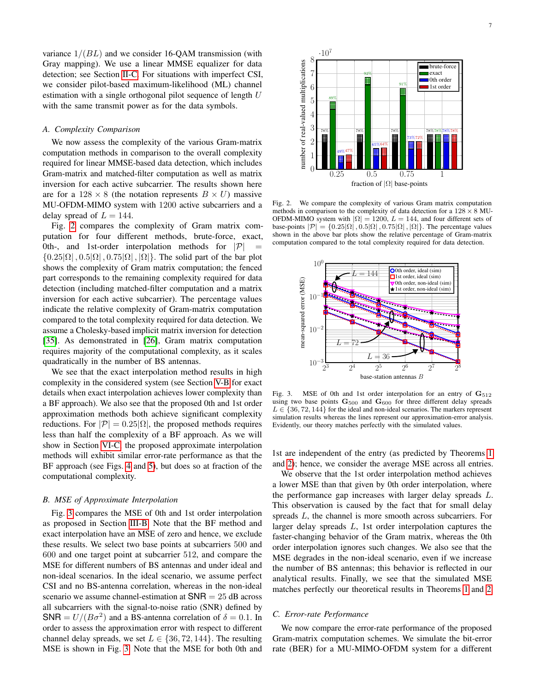variance  $1/(BL)$  and we consider 16-QAM transmission (with Gray mapping). We use a linear MMSE equalizer for data detection; see Section [II-C.](#page-2-1) For situations with imperfect CSI, we consider pilot-based maximum-likelihood (ML) channel estimation with a single orthogonal pilot sequence of length  $U$ with the same transmit power as for the data symbols.

# *A. Complexity Comparison*

We now assess the complexity of the various Gram-matrix computation methods in comparison to the overall complexity required for linear MMSE-based data detection, which includes Gram-matrix and matched-filter computation as well as matrix inversion for each active subcarrier. The results shown here are for a  $128 \times 8$  (the notation represents  $B \times U$ ) massive MU-OFDM-MIMO system with 1200 active subcarriers and a delay spread of  $L = 144$ .

Fig. [2](#page-6-1) compares the complexity of Gram matrix computation for four different methods, brute-force, exact, 0th-, and 1st-order interpolation methods for  $|\mathcal{P}|$  $\{0.25|\Omega|, 0.5|\Omega|, 0.75|\Omega|, |\Omega|\}.$  The solid part of the bar plot shows the complexity of Gram matrix computation; the fenced part corresponds to the remaining complexity required for data detection (including matched-filter computation and a matrix inversion for each active subcarrier). The percentage values indicate the relative complexity of Gram-matrix computation compared to the total complexity required for data detection. We assume a Cholesky-based implicit matrix inversion for detection [\[35\]](#page-11-6). As demonstrated in [\[26\]](#page-10-19), Gram matrix computation requires majority of the computational complexity, as it scales quadratically in the number of BS antennas.

We see that the exact interpolation method results in high complexity in the considered system (see Section [V-B](#page-5-8) for exact details when exact interpolation achieves lower complexity than a BF approach). We also see that the proposed 0th and 1st order approximation methods both achieve significant complexity reductions. For  $|\mathcal{P}| = 0.25|\Omega|$ , the proposed methods requires less than half the complexity of a BF approach. As we will show in Section [VI-C,](#page-6-0) the proposed approximate interpolation methods will exhibit similar error-rate performance as that the BF approach (see Figs. [4](#page-7-1) and [5\)](#page-7-2), but does so at fraction of the computational complexity.

#### *B. MSE of Approximate Interpolation*

Fig. [3](#page-6-2) compares the MSE of 0th and 1st order interpolation as proposed in Section [III-B.](#page-3-3) Note that the BF method and exact interpolation have an MSE of zero and hence, we exclude these results. We select two base points at subcarriers 500 and 600 and one target point at subcarrier 512, and compare the MSE for different numbers of BS antennas and under ideal and non-ideal scenarios. In the ideal scenario, we assume perfect CSI and no BS-antenna correlation, whereas in the non-ideal scenario we assume channel-estimation at  $SNR = 25$  dB across all subcarriers with the signal-to-noise ratio (SNR) defined by SNR =  $U/(B\sigma^2)$  and a BS-antenna correlation of  $\delta = 0.1$ . In order to assess the approximation error with respect to different channel delay spreads, we set  $L \in \{36, 72, 144\}$ . The resulting MSE is shown in Fig. [3.](#page-6-2) Note that the MSE for both 0th and



number of real-valued multiplications

number of real-valued multiplications

Fig. 2. We compare the complexity of various Gram matrix computation methods in comparison to the complexity of data detection for a  $128 \times 8$  MU-OFDM-MIMO system with  $|\Omega| = 1200$ ,  $L = 144$ , and four different sets of base-points  $|\mathcal{P}| = \{0.25|\Omega|, 0.5|\Omega|, 0.75|\Omega|, |\Omega|\}$ . The percentage values shown in the above bar plots show the relative percentage of Gram-matrix computation compared to the total complexity required for data detection.

<span id="page-6-1"></span>fraction of  $|\Omega|$  base-points



<span id="page-6-2"></span>Fig. 3. MSE of 0th and 1st order interpolation for an entry of  $G_{512}$ using two base points  $\mathbf{G}_{500}$  and  $\mathbf{G}_{600}$  for three different delay spreads  $L \in \{36, 72, 144\}$  for the ideal and non-ideal scenarios. The markers represent simulation results whereas the lines represent our approximation-error analysis. Evidently, our theory matches perfectly with the simulated values.

1st are independent of the entry (as predicted by Theorems [1](#page-4-0) and [2\)](#page-4-6); hence, we consider the average MSE across all entries.

We observe that the 1st order interpolation method achieves a lower MSE than that given by 0th order interpolation, where the performance gap increases with larger delay spreads L. This observation is caused by the fact that for small delay spreads L, the channel is more smooth across subcarriers. For larger delay spreads L, 1st order interpolation captures the faster-changing behavior of the Gram matrix, whereas the 0th order interpolation ignores such changes. We also see that the MSE degrades in the non-ideal scenario, even if we increase the number of BS antennas; this behavior is reflected in our analytical results. Finally, we see that the simulated MSE matches perfectly our theoretical results in Theorems [1](#page-4-0) and [2.](#page-4-6)

#### <span id="page-6-0"></span>*C. Error-rate Performance*

We now compare the error-rate performance of the proposed Gram-matrix computation schemes. We simulate the bit-error rate (BER) for a MU-MIMO-OFDM system for a different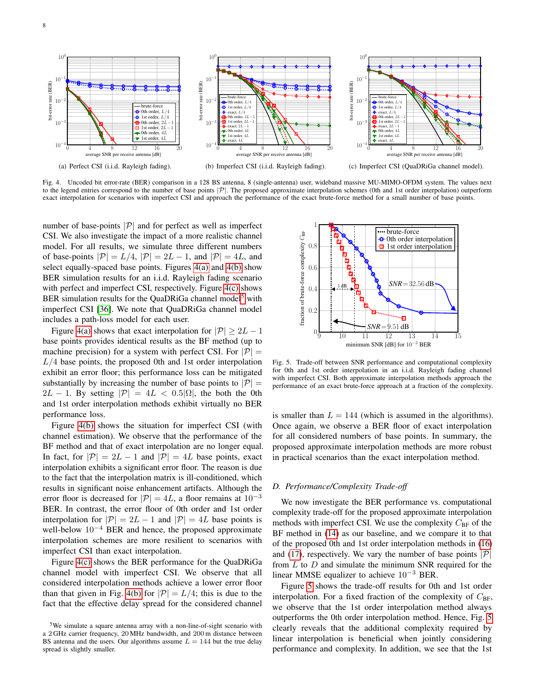<span id="page-7-3"></span>

Fig. 4. Uncoded bit error-rate (BER) comparison in a 128 BS antenna, 8 (single-antenna) user, wideband massive MU-MIMO-OFDM system. The values next to the legend entries correspond to the number of base points  $|\mathcal{P}|$ . The proposed approximate interpolation schemes (0th and 1st order interpolation) outperform exact interpolation for scenarios with imperfect CSI and approach the performance of the exact brute-force method for a small number of base points.

number of base-points  $|\mathcal{P}|$  and for perfect as well as imperfect CSI. We also investigate the impact of a more realistic channel model. For all results, we simulate three different numbers of base-points  $|\mathcal{P}| = L/4$ ,  $|\mathcal{P}| = 2L - 1$ , and  $|\mathcal{P}| = 4L$ , and select equally-spaced base points. Figures [4\(a\)](#page-7-3) and [4\(b\)](#page-7-4) show BER simulation results for an i.i.d. Rayleigh fading scenario with perfect and imperfect CSI, respectively. Figure [4\(c\)](#page-7-5) shows BER simulation results for the QuaDRiGa channel model<sup>[5](#page-7-6)</sup> with imperfect CSI [\[36\]](#page-11-7). We note that QuaDRiGa channel model includes a path-loss model for each user.

Figure [4\(a\)](#page-7-3) shows that exact interpolation for  $|\mathcal{P}| \ge 2L - 1$ base points provides identical results as the BF method (up to machine precision) for a system with perfect CSI. For  $|\mathcal{P}| =$  $L/4$  base points, the proposed 0th and 1st order interpolation exhibit an error floor; this performance loss can be mitigated substantially by increasing the number of base points to  $|\mathcal{P}| =$  $2L - 1$ . By setting  $|\mathcal{P}| = 4L < 0.5|\Omega|$ , the both the 0th and 1st order interpolation methods exhibit virtually no BER performance loss.

Figure [4\(b\)](#page-7-4) shows the situation for imperfect CSI (with channel estimation). We observe that the performance of the BF method and that of exact interpolation are no longer equal. In fact, for  $|\mathcal{P}| = 2L - 1$  and  $|\mathcal{P}| = 4L$  base points, exact interpolation exhibits a significant error floor. The reason is due to the fact that the interpolation matrix is ill-conditioned, which results in significant noise enhancement artifacts. Although the error floor is decreased for  $|\mathcal{P}| = 4L$ , a floor remains at  $10^{-3}$ BER. In contrast, the error floor of 0th order and 1st order interpolation for  $|\mathcal{P}| = 2L - 1$  and  $|\mathcal{P}| = 4L$  base points is well-below  $10^{-4}$  BER and hence, the proposed approximate interpolation schemes are more resilient to scenarios with imperfect CSI than exact interpolation.

Figure [4\(c\)](#page-7-5) shows the BER performance for the QuaDRiGa channel model with imperfect CSI. We observe that all considered interpolation methods achieve a lower error floor than that given in Fig. [4\(b\)](#page-7-4) for  $|\mathcal{P}| = L/4$ ; this is due to the fact that the effective delay spread for the considered channel

<span id="page-7-5"></span><span id="page-7-4"></span><span id="page-7-1"></span>

<span id="page-7-2"></span>Fig. 5. Trade-off between SNR performance and computational complexity for 0th and 1st order interpolation in an i.i.d. Rayleigh fading channel with imperfect CSI. Both approximate interpolation methods approach the performance of an exact brute-force approach at a fraction of the complexity.

is smaller than  $L = 144$  (which is assumed in the algorithms). Once again, we observe a BER floor of exact interpolation for all considered numbers of base points. In summary, the proposed approximate interpolation methods are more robust in practical scenarios than the exact interpolation method.

#### <span id="page-7-0"></span>*D. Performance/Complexity Trade-off*

We now investigate the BER performance vs. computational complexity trade-off for the proposed approximate interpolation methods with imperfect CSI. We use the complexity  $C_{BF}$  of the BF method in [\(14\)](#page-5-4) as our baseline, and we compare it to that of the proposed 0th and 1st order interpolation methods in [\(16\)](#page-5-6) and [\(17\)](#page-5-7), respectively. We vary the number of base points  $|\mathcal{P}|$ from  $L$  to  $D$  and simulate the minimum SNR required for the linear MMSE equalizer to achieve  $10^{-3}$  BER.

Figure [5](#page-7-2) shows the trade-off results for 0th and 1st order interpolation. For a fixed fraction of the complexity of  $C_{\text{BF}}$ , we observe that the 1st order interpolation method always outperforms the 0th order interpolation method. Hence, Fig. [5](#page-7-2) clearly reveals that the additional complexity required by linear interpolation is beneficial when jointly considering performance and complexity. In addition, we see that the 1st

<span id="page-7-6"></span><sup>5</sup>We simulate a square antenna array with a non-line-of-sight scenario with a 2 GHz carrier frequency, 20 MHz bandwidth, and 200 m distance between BS antenna and the users. Our algorithms assume  $L = 144$  but the true delay spread is slightly smaller.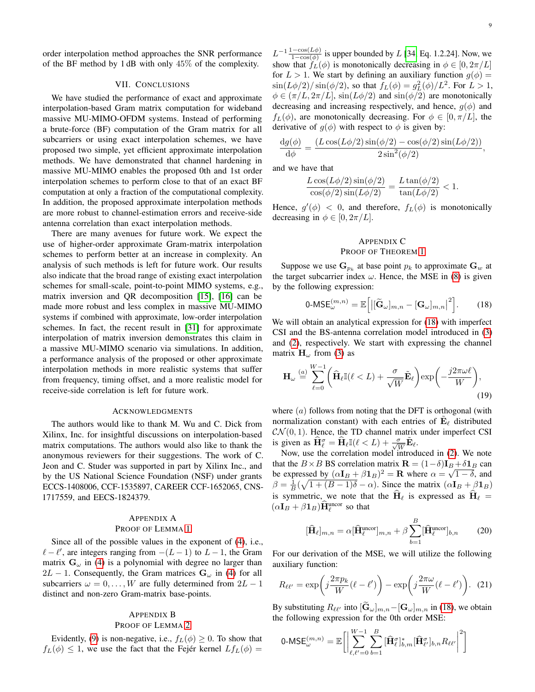## VII. CONCLUSIONS

<span id="page-8-0"></span>We have studied the performance of exact and approximate interpolation-based Gram matrix computation for wideband massive MU-MIMO-OFDM systems. Instead of performing a brute-force (BF) computation of the Gram matrix for all subcarriers or using exact interpolation schemes, we have proposed two simple, yet efficient approximate interpolation methods. We have demonstrated that channel hardening in massive MU-MIMO enables the proposed 0th and 1st order interpolation schemes to perform close to that of an exact BF computation at only a fraction of the computational complexity. In addition, the proposed approximate interpolation methods are more robust to channel-estimation errors and receive-side antenna correlation than exact interpolation methods.

There are many avenues for future work. We expect the use of higher-order approximate Gram-matrix interpolation schemes to perform better at an increase in complexity. An analysis of such methods is left for future work. Our results also indicate that the broad range of existing exact interpolation schemes for small-scale, point-to-point MIMO systems, e.g., matrix inversion and QR decomposition [\[15\]](#page-10-12), [\[16\]](#page-10-22) can be made more robust and less complex in massive MU-MIMO systems if combined with approximate, low-order interpolation schemes. In fact, the recent result in [\[31\]](#page-11-2) for approximate interpolation of matrix inversion demonstrates this claim in a massive MU-MIMO scenario via simulations. In addition, a performance analysis of the proposed or other approximate interpolation methods in more realistic systems that suffer from frequency, timing offset, and a more realistic model for receive-side correlation is left for future work.

#### ACKNOWLEDGMENTS

The authors would like to thank M. Wu and C. Dick from Xilinx, Inc. for insightful discussions on interpolation-based matrix computations. The authors would also like to thank the anonymous reviewers for their suggestions. The work of C. Jeon and C. Studer was supported in part by Xilinx Inc., and by the US National Science Foundation (NSF) under grants ECCS-1408006, CCF-1535897, CAREER CCF-1652065, CNS-1717559, and EECS-1824379.

# <span id="page-8-1"></span>APPENDIX A PROOF OF LEMMA [1](#page-2-8)

Since all of the possible values in the exponent of [\(4\)](#page-2-5), i.e.,  $\ell - \ell'$ , are integers ranging from  $-(L - 1)$  to  $L - 1$ , the Gram matrix  $G_{\omega}$  in [\(4\)](#page-2-5) is a polynomial with degree no larger than  $2L - 1$ . Consequently, the Gram matrices  $G_{\omega}$  in [\(4\)](#page-2-5) for all subcarriers  $\omega = 0, \ldots, W$  are fully determined from  $2L - 1$ distinct and non-zero Gram-matrix base-points.

# <span id="page-8-2"></span>APPENDIX B

# PROOF OF LEMMA [2](#page-3-6)

Evidently, [\(9\)](#page-3-4) is non-negative, i.e.,  $f_L(\phi) \geq 0$ . To show that  $f_L(\phi) \leq 1$ , we use the fact that the Fejér kernel  $Lf_L(\phi) =$ 

 $L^{-1} \frac{1-\cos(L\phi)}{1-\cos(\phi)}$  is upper bounded by L [\[34,](#page-11-5) Eq. 1.2.24]. Now, we show that  $f_L(\phi)$  is monotonically decreasing in  $\phi \in [0, 2\pi/L]$ for  $L > 1$ . We start by defining an auxiliary function  $g(\phi) =$  $\sin(L\phi/2)/\sin(\phi/2)$ , so that  $f_L(\phi) = g_L^2(\phi)/L^2$ . For  $L > 1$ ,  $\phi \in (\pi/L, 2\pi/L]$ ,  $\sin(L\phi/2)$  and  $\sin(\phi/2)$  are monotonically decreasing and increasing respectively, and hence,  $g(\phi)$  and  $f_L(\phi)$ , are monotonically decreasing. For  $\phi \in [0, \pi/L]$ , the derivative of  $g(\phi)$  with respect to  $\phi$  is given by:

$$
\frac{\mathrm{d}g(\phi)}{\mathrm{d}\phi} = \frac{(L\cos(L\phi/2)\sin(\phi/2) - \cos(\phi/2)\sin(L\phi/2))}{2\sin^2(\phi/2)},
$$

and we have that

$$
\frac{L\cos(L\phi/2)\sin(\phi/2)}{\cos(\phi/2)\sin(L\phi/2)} = \frac{L\tan(\phi/2)}{\tan(L\phi/2)} < 1.
$$

Hence,  $g'(\phi) < 0$ , and therefore,  $f_L(\phi)$  is monotonically decreasing in  $\phi \in [0, 2\pi/L]$ .

# <span id="page-8-4"></span><span id="page-8-3"></span>APPENDIX C PROOF OF THEOREM [1](#page-4-0)

Suppose we use  $\mathbf{G}_{p_k}$  at base point  $p_k$  to approximate  $\mathbf{G}_w$  at the target subcarrier index  $\omega$ . Hence, the MSE in [\(8\)](#page-3-7) is given by the following expression:

<span id="page-8-5"></span>
$$
0\text{-MSE}_{\omega}^{(m,n)} = \mathbb{E}\bigg[\big|\big[\widetilde{\mathbf{G}}_{\omega}\big]_{m,n} - \big[\mathbf{G}_{\omega}\big]_{m,n}\big|^2\bigg].\qquad(18)
$$

We will obtain an analytical expression for [\(18\)](#page-8-4) with imperfect CSI and the BS-antenna correlation model introduced in [\(3\)](#page-2-4) and [\(2\)](#page-2-7), respectively. We start with expressing the channel matrix  $\mathbf{H}_{\omega}$  from [\(3\)](#page-2-4) as

$$
\mathbf{H}_{\omega} \stackrel{(a)}{=} \sum_{\ell=0}^{W-1} \left( \widehat{\mathbf{H}}_{\ell} \mathbb{I}(\ell < L) + \frac{\sigma}{\sqrt{W}} \widetilde{\mathbf{E}}_{\ell} \right) \exp\left( -\frac{j2\pi\omega\ell}{W} \right),\tag{19}
$$

where  $(a)$  follows from noting that the DFT is orthogonal (with normalization constant) with each entries of  $\tilde{\mathbf{E}}_{\ell}$  distributed  $\mathcal{CN}(0, 1)$ . Hence, the TD channel matrix under imperfect CSI is given as  $\widehat{\mathbf{H}}_{\ell}^{\sigma} = \widehat{\mathbf{H}}_{\ell} \mathbb{I}(\ell < L) + \frac{\sigma}{\sqrt{W}} \widetilde{\mathbf{E}}_{\ell}.$ 

Now, use the correlation model introduced in [\(2\)](#page-2-7). We note that the  $B \times B$  BS correlation matrix  $\mathbf{R} = (1 - \delta) \mathbf{I}_B + \delta \mathbf{1}_B$  can be expressed by  $(\alpha I_B + \beta I_B)^2 = \mathbf{R}$  where  $\alpha = \sqrt{1-\delta}$ , and  $\beta = \frac{1}{B}(\sqrt{1 + (B - 1)\delta} - \alpha)$ . Since the matrix  $(\alpha I_B + \beta I_B)$ is symmetric, we note that the  $\mathbf{H}_{\ell}$  is expressed as  $\mathbf{H}_{\ell} =$  $(\alpha \mathbf{I}_B + \beta \mathbf{1}_B) \hat{\mathbf{H}}_{\ell}^{\text{uncor}}$  so that

<span id="page-8-6"></span>
$$
[\widehat{\mathbf{H}}_{\ell}]_{m,n} = \alpha [\widehat{\mathbf{H}}_{\ell}^{\text{uncor}}]_{m,n} + \beta \sum_{b=1}^{B} [\widehat{\mathbf{H}}_{\ell}^{\text{uncor}}]_{b,n} \qquad (20)
$$

For our derivation of the MSE, we will utilize the following auxiliary function:

$$
R_{\ell\ell'} = \exp\left(j\frac{2\pi p_k}{W}(\ell - \ell')\right) - \exp\left(j\frac{2\pi\omega}{W}(\ell - \ell')\right). (21)
$$

By substituting  $R_{\ell\ell'}$  into  $[\tilde{\mathbf{G}}_{\omega}]_{m,n}-[\mathbf{G}_{\omega}]_{m,n}$  in [\(18\)](#page-8-4), we obtain the following expression for the 0th order MSE:

$$
0\text{-MSE}_{\omega}^{(m,n)} = \mathbb{E}\bigg[\bigg|\sum_{\ell,\ell'=0}^{W-1}\sum_{b=1}^{B} [\widehat{\mathbf{H}}_{\ell}^{\sigma}]_{b,m}^{*} [\widehat{\mathbf{H}}_{\ell'}^{\sigma}]_{b,n} R_{\ell\ell'}\bigg|^{2}\bigg]
$$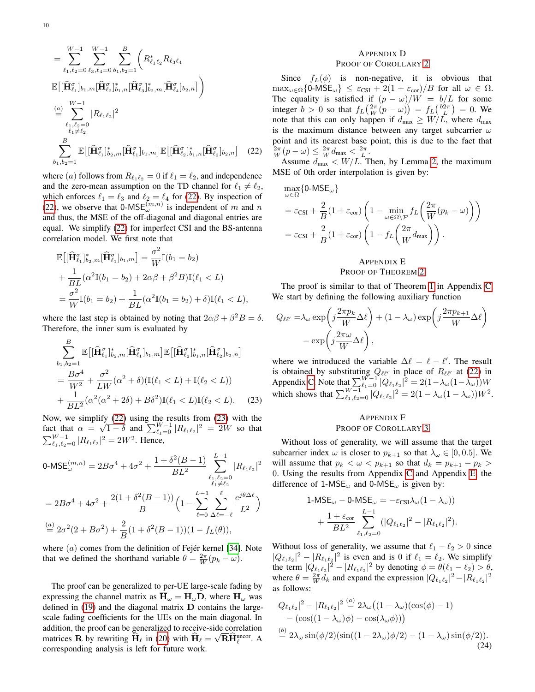$$
= \sum_{\ell_1,\ell_2=0}^{W-1} \sum_{\ell_3,\ell_4=0}^{W-1} \sum_{b_1,b_2=1}^{B} \left( R_{\ell_1\ell_2}^* R_{\ell_3\ell_4} \right)
$$

$$
\mathbb{E}\left[ [\widehat{\mathbf{H}}_{\ell_1}^{\sigma}]_{b_1,m} [\widehat{\mathbf{H}}_{\ell_2}^{\sigma}]_{b_1,n}^* [\widehat{\mathbf{H}}_{\ell_3}^{\sigma}]_{b_2,m}^* [\widehat{\mathbf{H}}_{\ell_4}^{\sigma}]_{b_2,n} \right]
$$

$$
\stackrel{(a)}{=} \sum_{\ell_1,\ell_2=0}^{W-1} |R_{\ell_1\ell_2}|^2
$$

$$
\sum_{\ell_1 \neq \ell_2}^{B} \mathbb{E}\left[ [\widehat{\mathbf{H}}_{\ell_1}^{\sigma}]_{b_2,m}^* [\widehat{\mathbf{H}}_{\ell_1}^{\sigma}]_{b_1,m}^* [\widehat{\mathbf{H}}_{\ell_2}^{\sigma}]_{b_1,n}^* [\widehat{\mathbf{H}}_{\ell_2}^{\sigma}]_{b_2,n} \right] \quad (22)
$$

where (a) follows from  $R_{\ell_1 \ell_2} = 0$  if  $\ell_1 = \ell_2$ , and independence and the zero-mean assumption on the TD channel for  $\ell_1 \neq \ell_2$ , which enforces  $\ell_1 = \ell_3$  and  $\ell_2 = \ell_4$  for [\(22\)](#page-9-3). By inspection of [\(22\)](#page-9-3), we observe that 0-MSE $_{\omega}^{(m,n)}$  is independent of m and n and thus, the MSE of the off-diagonal and diagonal entries are equal. We simplify [\(22\)](#page-9-3) for imperfect CSI and the BS-antenna correlation model. We first note that

$$
\mathbb{E}\big[\big[\hat{\mathbf{H}}_{\ell_1}^{\sigma}\big]_{b_2,m}^{*}\big[\hat{\mathbf{H}}_{\ell_1}^{\sigma}\big]_{b_1,m}\big] = \frac{\sigma^2}{W}\mathbb{I}(b_1 = b_2) \n+ \frac{1}{BL}(\alpha^2 \mathbb{I}(b_1 = b_2) + 2\alpha\beta + \beta^2 B)\mathbb{I}(\ell_1 < L) \n= \frac{\sigma^2}{W}\mathbb{I}(b_1 = b_2) + \frac{1}{BL}(\alpha^2 \mathbb{I}(b_1 = b_2) + \delta)\mathbb{I}(\ell_1 < L),
$$

where the last step is obtained by noting that  $2\alpha\beta + \beta^2 B = \delta$ . Therefore, the inner sum is evaluated by

$$
\sum_{b_1, b_2=1}^{B} \mathbb{E}\left[ [\widehat{\mathbf{H}}_{\ell_1}^{\sigma}]_{b_2, m}^* [\widehat{\mathbf{H}}_{\ell_1}^{\sigma}]_{b_1, m} \right] \mathbb{E}\left[ [\widehat{\mathbf{H}}_{\ell_2}^{\sigma}]_{b_1, n}^* [\widehat{\mathbf{H}}_{\ell_2}^{\sigma}]_{b_2, n} \right]
$$
\n
$$
= \frac{B\sigma^4}{W^2} + \frac{\sigma^2}{LW} (\alpha^2 + \delta) (\mathbb{I}(\ell_1 < L) + \mathbb{I}(\ell_2 < L))
$$
\n
$$
+ \frac{1}{BL^2} (\alpha^2 (\alpha^2 + 2\delta) + B\delta^2) \mathbb{I}(\ell_1 < L) \mathbb{I}(\ell_2 < L). \tag{23}
$$

Now, we simplify [\(22\)](#page-9-3) using the results from [\(23\)](#page-9-4) with the fact that  $\alpha = \sqrt{1-\delta}$  and  $\sum_{\ell_1=0}^{W-1} |R_{\ell_1\ell_2}|^2 = 2W$  so that  $\sum_{\ell_1,\ell_2=0}^{W-1} |R_{\ell_1\ell_2}|^2 = 2W^2$ . Hence,

$$
0\text{-MSE}_{\omega}^{(m,n)} = 2B\sigma^4 + 4\sigma^2 + \frac{1 + \delta^2(B-1)}{BL^2} \sum_{\substack{\ell_1,\ell_2=0\\ \ell_1 \neq \ell_2}}^{L-1} |R_{\ell_1\ell_2}|^2
$$
  
= 
$$
2B\sigma^4 + 4\sigma^2 + \frac{2(1 + \delta^2(B-1))}{B} \left(1 - \sum_{\ell=0}^{L-1} \sum_{\Delta\ell=-\ell}^{\ell} \frac{e^{j\theta\Delta\ell}}{L^2}\right)
$$
  

$$
\stackrel{(a)}{=} 2\sigma^2(2 + B\sigma^2) + \frac{2}{B}(1 + \delta^2(B-1))(1 - f_L(\theta)),
$$

where  $(a)$  comes from the definition of Fejér kernel [\[34\]](#page-11-5). Note that we defined the shorthand variable  $\theta = \frac{2\pi}{W}(p_k - \omega)$ .

The proof can be generalized to per-UE large-scale fading by expressing the channel matrix as  $\overline{H}_{\omega} = H_{\omega}D$ , where  $H_{\omega}$  was defined in [\(19\)](#page-8-5) and the diagonal matrix D contains the largescale fading coefficients for the UEs on the main diagonal. In addition, the proof can be generalized to receive-side correlation matrices R by rewriting  $\hat{H}_{\ell}$  in [\(20\)](#page-8-6) with  $\hat{H}_{\ell} = \sqrt{R}\hat{H}_{\ell}^{\text{uncor}}$ . A corresponding analysis is left for future work.

# <span id="page-9-0"></span>APPENDIX D PROOF OF COROLLARY [2](#page-4-3)

Since  $f_L(\phi)$  is non-negative, it is obvious that  $\max_{\omega \in \Omega} \{0\text{-MSE}_{\omega}\}\ \leq \ \varepsilon_{\text{CSI}} + 2(1+\varepsilon_{\text{cor}})/B$  for all  $\omega \in \Omega$ . The equality is satisfied if  $(p - \omega)/W = b/L$  for some integer  $b > 0$  so that  $f_L(\frac{2\pi}{W}(p - \omega)) = f_L(\frac{b2\pi}{L}) = 0$ . We note that this can only happen if  $d_{\text{max}} \geq W/L$ , where  $d_{\text{max}}$ is the maximum distance between any target subcarrier  $\omega$ point and its nearest base point; this is due to the fact that  $\frac{2\pi}{W}(p-\omega) \leq \frac{2\pi}{W}d_{\max} < \frac{2\pi}{L}.$ 

<span id="page-9-3"></span>Assume  $d_{\text{max}} < W/L$ . Then, by Lemma [2,](#page-3-6) the maximum MSE of 0th order interpolation is given by:

$$
\max_{\omega \in \Omega} \{ 0\text{-MSE}_{\omega} \}
$$
\n
$$
= \varepsilon_{\text{CSI}} + \frac{2}{B} (1 + \varepsilon_{\text{cor}}) \left( 1 - \min_{\omega \in \Omega \setminus \mathcal{P}} f_L \left( \frac{2\pi}{W} (p_k - \omega) \right) \right)
$$
\n
$$
= \varepsilon_{\text{CSI}} + \frac{2}{B} (1 + \varepsilon_{\text{cor}}) \left( 1 - f_L \left( \frac{2\pi}{W} d_{\text{max}} \right) \right).
$$

# <span id="page-9-1"></span>APPENDIX E PROOF OF THEOREM [2](#page-4-6)

The proof is similar to that of Theorem [1](#page-4-0) in Appendix [C.](#page-8-3) We start by defining the following auxiliary function

$$
Q_{\ell\ell'} = \lambda_{\omega} \exp\left(j\frac{2\pi p_k}{W}\Delta\ell\right) + (1 - \lambda_{\omega}) \exp\left(j\frac{2\pi p_{k+1}}{W}\Delta\ell\right) - \exp\left(j\frac{2\pi\omega}{W}\Delta\ell\right),
$$

<span id="page-9-4"></span>where we introduced the variable  $\Delta \ell = \ell - \ell'$ . The result is obtained by substituting  $Q_{\ell\ell'}$  in place of  $R_{\ell\ell'}$  at [\(22\)](#page-9-3) in Appendix [C.](#page-8-3) Note that  $\sum_{\ell_1=0}^{W-1} |Q_{\ell_1\ell_2}|^2 = 2(1-\lambda_\omega(1-\lambda_\omega))W$ which shows that  $\sum_{\ell_1,\ell_2=0}^{W-1} |Q_{\ell_1\ell_2}|^2 = 2(1 - \lambda_\omega(1 - \lambda_\omega))W^2$ .

# <span id="page-9-2"></span>APPENDIX F PROOF OF COROLLARY [3](#page-5-2)

Without loss of generality, we will assume that the target subcarrier index  $\omega$  is closer to  $p_{k+1}$  so that  $\lambda_{\omega} \in [0, 0.5]$ . We will assume that  $p_k < \omega < p_{k+1}$  so that  $d_k = p_{k+1} - p_k >$ 0. Using the results from Appendix [C](#page-8-3) and Appendix [E,](#page-9-1) the difference of 1-MSE<sub> $\omega$ </sub> and 0-MSE<sub> $\omega$ </sub> is given by:

$$
1\text{-MSE}_{\omega} - 0\text{-MSE}_{\omega} = -\varepsilon_{\text{CSI}}\lambda_{\omega}(1 - \lambda_{\omega}))
$$

$$
+ \frac{1 + \varepsilon_{\text{cor}}}{BL^2} \sum_{\ell_1, \ell_2 = 0}^{L-1} (|Q_{\ell_1 \ell_2}|^2 - |R_{\ell_1 \ell_2}|^2).
$$

Without loss of generality, we assume that  $\ell_1 - \ell_2 > 0$  since  $|Q_{\ell_1\ell_2}|^2 - |R_{\ell_1\ell_2}|^2$  is even and is 0 if  $\ell_1 = \ell_2$ . We simplify the term  $|Q_{\ell_1\ell_2}|^2 - |R_{\ell_1\ell_2}|^2$  by denoting  $\phi = \theta(\ell_1 - \ell_2) > \theta$ , where  $\theta = \frac{2\pi}{W} \overline{d}_k$  and expand the expression  $|Q_{\ell_1 \ell_2}|^2 - |R_{\ell_1 \ell_2}|^2$ as follows:

<span id="page-9-5"></span>
$$
|Q_{\ell_1\ell_2}|^2 - |R_{\ell_1\ell_2}|^2 \stackrel{(a)}{=} 2\lambda_\omega ((1 - \lambda_\omega)(\cos(\phi) - 1)
$$
  
–  $(\cos((1 - \lambda_\omega)\phi) - \cos(\lambda_\omega\phi)))$   
 $\stackrel{(b)}{=} 2\lambda_\omega \sin(\phi/2)(\sin((1 - 2\lambda_\omega)\phi/2) - (1 - \lambda_\omega)\sin(\phi/2)).$  (24)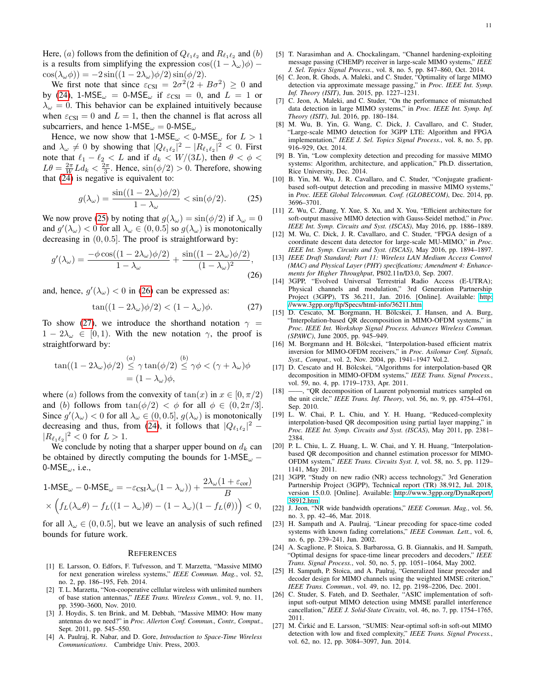Here, (*a*) follows from the definition of  $Q_{\ell_1\ell_2}$  and  $R_{\ell_1\ell_2}$  and (*b*) is a results from simplifying the expression  $\cos((1 - \lambda_{\omega})\phi)$  –  $\cos(\lambda_{\omega}\phi)$ ) =  $-2\sin((1-2\lambda_{\omega})\phi/2)\sin(\phi/2)$ .

We first note that since  $\varepsilon_{\text{CSI}} = 2\sigma^2(2 + B\sigma^2) \ge 0$  and by [\(24\)](#page-9-5), 1-MSE<sub> $\omega$ </sub> = 0-MSE<sub> $\omega$ </sub> if  $\varepsilon_{\text{CSI}} = 0$ , and  $L = 1$  or  $\lambda_{\omega} = 0$ . This behavior can be explained intuitively because when  $\varepsilon_{\text{CSI}} = 0$  and  $L = 1$ , then the channel is flat across all subcarriers, and hence  $1\text{-MSE}_{\omega} = 0\text{-MSE}_{\omega}$ 

Hence, we now show that  $1\text{-MSE}_{\omega} < 0\text{-MSE}_{\omega}$  for  $L > 1$ and  $\lambda_{\omega} \neq 0$  by showing that  $|Q_{\ell_1 \ell_2}|^2 - |R_{\ell_1 \ell_2}|^2 < 0$ . First note that  $\ell_1 - \ell_2 < L$  and if  $d_k < W/(3L)$ , then  $\theta < \phi <$  $L\theta = \frac{2\pi}{W} L d_k < \frac{2\pi}{3}$ . Hence,  $\sin(\phi/2) > 0$ . Therefore, showing that [\(24\)](#page-9-5) is negative is equivalent to:

$$
g(\lambda_{\omega}) = \frac{\sin((1 - 2\lambda_{\omega})\phi/2)}{1 - \lambda_{\omega}} < \sin(\phi/2). \tag{25}
$$

We now prove [\(25\)](#page-10-23) by noting that  $g(\lambda_\omega) = \sin(\phi/2)$  if  $\lambda_\omega = 0$ and  $g'(\lambda_{\omega}) < 0$  for all  $\lambda_{\omega} \in (0, 0.5]$  so  $g(\lambda_{\omega})$  is monotonically decreasing in  $(0, 0.5]$ . The proof is straightforward by:

$$
g'(\lambda_{\omega}) = \frac{-\phi \cos((1 - 2\lambda_{\omega})\phi/2)}{1 - \lambda_{\omega}} + \frac{\sin((1 - 2\lambda_{\omega})\phi/2)}{(1 - \lambda_{\omega})^2},
$$
\n(26)

and, hence,  $g'(\lambda_{\omega}) < 0$  in [\(26\)](#page-10-24) can be expressed as:

$$
\tan((1-2\lambda_{\omega})\phi/2) < (1-\lambda_{\omega})\phi. \tag{27}
$$

To show [\(27\)](#page-10-25), we introduce the shorthand notation  $\gamma =$  $1 - 2\lambda_{\omega} \in [0, 1)$ . With the new notation  $\gamma$ , the proof is straightforward by:

$$
\tan((1 - 2\lambda_{\omega})\phi/2) \stackrel{(a)}{\leq} \gamma \tan(\phi/2) \stackrel{(b)}{\leq} \gamma \phi < (\gamma + \lambda_{\omega})\phi
$$

$$
= (1 - \lambda_{\omega})\phi,
$$

where (a) follows from the convexity of  $tan(x)$  in  $x \in [0, \pi/2)$ and (b) follows from  $tan(\phi/2) < \phi$  for all  $\phi \in (0, 2\pi/3]$ . Since  $g'(\lambda_\omega) < 0$  for all  $\lambda_\omega \in (0, 0.5]$ ,  $g(\lambda_\omega)$  is monotonically decreasing and thus, from [\(24\)](#page-9-5), it follows that  $|Q_{\ell_1\ell_2}|^2$  –  $|R_{\ell_1\ell_2}|^2 < 0$  for  $L > 1$ .

We conclude by noting that a sharper upper bound on  $d_k$  can be obtained by directly computing the bounds for 1-MSE<sub> $\omega$ </sub> − 0-MSE $\omega$ , i.e.,

$$
1\text{-MSE}_{\omega} - 0\text{-MSE}_{\omega} = -\varepsilon_{\text{CSI}}\lambda_{\omega}(1 - \lambda_{\omega})) + \frac{2\lambda_{\omega}(1 + \varepsilon_{\text{cor}})}{B}
$$

$$
\times \left(f_L(\lambda_{\omega}\theta) - f_L((1 - \lambda_{\omega})\theta) - (1 - \lambda_{\omega})(1 - f_L(\theta))\right) < 0,
$$

for all  $\lambda_{\omega} \in (0, 0.5]$ , but we leave an analysis of such refined bounds for future work.

#### **REFERENCES**

- <span id="page-10-0"></span>[1] E. Larsson, O. Edfors, F. Tufvesson, and T. Marzetta, "Massive MIMO for next generation wireless systems," *IEEE Commun. Mag.*, vol. 52, no. 2, pp. 186–195, Feb. 2014.
- <span id="page-10-1"></span>[2] T. L. Marzetta, "Non-cooperative cellular wireless with unlimited numbers of base station antennas," *IEEE Trans. Wireless Comm.*, vol. 9, no. 11, pp. 3590–3600, Nov. 2010.
- <span id="page-10-2"></span>[3] J. Hoydis, S. ten Brink, and M. Debbah, "Massive MIMO: How many antennas do we need?" in *Proc. Allerton Conf. Commun., Contr., Comput.*, Sept. 2011, pp. 545–550.
- <span id="page-10-3"></span>[4] A. Paulraj, R. Nabar, and D. Gore, *Introduction to Space-Time Wireless Communications*. Cambridge Univ. Press, 2003.
- <span id="page-10-4"></span>[5] T. Narasimhan and A. Chockalingam, "Channel hardening-exploiting message passing (CHEMP) receiver in large-scale MIMO systems," *IEEE J. Sel. Topics Signal Process.*, vol. 8, no. 5, pp. 847–860, Oct. 2014.
- <span id="page-10-20"></span>[6] C. Jeon, R. Ghods, A. Maleki, and C. Studer, "Optimality of large MIMO detection via approximate message passing," in *Proc. IEEE Int. Symp. Inf. Theory (ISIT)*, Jun. 2015, pp. 1227–1231.
- <span id="page-10-5"></span>[7] C. Jeon, A. Maleki, and C. Studer, "On the performance of mismatched data detection in large MIMO systems," in *Proc. IEEE Int. Symp. Inf. Theory (ISIT)*, Jul. 2016, pp. 180–184.
- <span id="page-10-6"></span>[8] M. Wu, B. Yin, G. Wang, C. Dick, J. Cavallaro, and C. Studer, "Large-scale MIMO detection for 3GPP LTE: Algorithm and FPGA implementation," *IEEE J. Sel. Topics Signal Process.*, vol. 8, no. 5, pp. 916–929, Oct. 2014.
- <span id="page-10-7"></span>[9] B. Yin, "Low complexity detection and precoding for massive MIMO systems: Algorithm, architecture, and application," Ph.D. dissertation, Rice University, Dec. 2014.
- <span id="page-10-23"></span><span id="page-10-8"></span>[10] B. Yin, M. Wu, J. R. Cavallaro, and C. Studer, "Conjugate gradientbased soft-output detection and precoding in massive MIMO systems," in *Proc. IEEE Global Telecommun. Conf. (GLOBECOM)*, Dec. 2014, pp. 3696–3701.
- [11] Z. Wu, C. Zhang, Y. Xue, S. Xu, and X. You, "Efficient architecture for soft-output massive MIMO detection with Gauss-Seidel method," in *Proc. IEEE Int. Symp. Circuits and Syst. (ISCAS)*, May 2016, pp. 1886–1889.
- <span id="page-10-9"></span>[12] M. Wu, C. Dick, J. R. Cavallaro, and C. Studer, "FPGA design of a coordinate descent data detector for large-scale MU-MIMO," in *Proc. IEEE Int. Symp. Circuits and Syst. (ISCAS)*, May 2016, pp. 1894–1897.
- <span id="page-10-24"></span><span id="page-10-10"></span>[13] *IEEE Draft Standard; Part 11: Wireless LAN Medium Access Control (MAC) and Physical Layer (PHY) specifications; Amendment 4: Enhancements for Higher Throughput*, P802.11n/D3.0, Sep. 2007.
- <span id="page-10-11"></span>[14] 3GPP, "Evolved Universal Terrestrial Radio Access (E-UTRA); Physical channels and modulation," 3rd Generation Partnership Project (3GPP), TS 36.211, Jan. 2016. [Online]. Available: [http:](http://www.3gpp.org/ftp/Specs/html-info/36211.htm) [//www.3gpp.org/ftp/Specs/html-info/36211.htm](http://www.3gpp.org/ftp/Specs/html-info/36211.htm)
- <span id="page-10-25"></span><span id="page-10-12"></span>[15] D. Cescato, M. Borgmann, H. Bölcskei, J. Hansen, and A. Burg, "Interpolation-based QR decomposition in MIMO-OFDM systems," in *Proc. IEEE Int. Workshop Signal Process. Advances Wireless Commun. (SPAWC)*, June 2005, pp. 945–949.
- <span id="page-10-22"></span>[16] M. Borgmann and H. Bölcskei, "Interpolation-based efficient matrix inversion for MIMO-OFDM receivers," in *Proc. Asilomar Conf. Signals, Syst., Comput.*, vol. 2, Nov. 2004, pp. 1941–1947 Vol.2.
- [17] D. Cescato and H. Bölcskei, "Algorithms for interpolation-based QR decomposition in MIMO-OFDM systems," *IEEE Trans. Signal Process.*, vol. 59, no. 4, pp. 1719–1733, Apr. 2011.
- <span id="page-10-13"></span>[18] ——, "QR decomposition of Laurent polynomial matrices sampled on the unit circle," *IEEE Trans. Inf. Theory*, vol. 56, no. 9, pp. 4754–4761, Sep. 2010.
- <span id="page-10-14"></span>[19] L. W. Chai, P. L. Chiu, and Y. H. Huang, "Reduced-complexity interpolation-based QR decomposition using partial layer mapping," in *Proc. IEEE Int. Symp. Circuits and Syst. (ISCAS)*, May 2011, pp. 2381– 2384.
- <span id="page-10-15"></span>[20] P. L. Chiu, L. Z. Huang, L. W. Chai, and Y. H. Huang, "Interpolationbased QR decomposition and channel estimation processor for MIMO-OFDM system," *IEEE Trans. Circuits Syst. I*, vol. 58, no. 5, pp. 1129– 1141, May 2011.
- <span id="page-10-16"></span>[21] 3GPP, "Study on new radio (NR) access technology," 3rd Generation Partnership Project (3GPP), Technical report (TR) 38.912, Jul. 2018, version 15.0.0. [Online]. Available: [http://www.3gpp.org/DynaReport/](http://www.3gpp.org/DynaReport/38912.htm) [38912.htm](http://www.3gpp.org/DynaReport/38912.htm)
- <span id="page-10-17"></span>[22] J. Jeon, "NR wide bandwidth operations," *IEEE Commun. Mag.*, vol. 56, no. 3, pp. 42–46, Mar. 2018.
- <span id="page-10-18"></span>[23] H. Sampath and A. Paulraj, "Linear precoding for space-time coded systems with known fading correlations," *IEEE Commun. Lett.*, vol. 6, no. 6, pp. 239–241, Jun. 2002.
- [24] A. Scaglione, P. Stoica, S. Barbarossa, G. B. Giannakis, and H. Sampath, "Optimal designs for space-time linear precoders and decoders," *IEEE Trans. Signal Process.*, vol. 50, no. 5, pp. 1051–1064, May 2002.
- [25] H. Sampath, P. Stoica, and A. Paulraj, "Generalized linear precoder and decoder design for MIMO channels using the weighted MMSE criterion," *IEEE Trans. Commun.*, vol. 49, no. 12, pp. 2198–2206, Dec. 2001.
- <span id="page-10-19"></span>[26] C. Studer, S. Fateh, and D. Seethaler, "ASIC implementation of softinput soft-output MIMO detection using MMSE parallel interference cancellation," *IEEE J. Solid-State Circuits*, vol. 46, no. 7, pp. 1754–1765, 2011.
- <span id="page-10-21"></span>[27] M. Čirkić and E. Larsson, "SUMIS: Near-optimal soft-in soft-out MIMO detection with low and fixed complexity," *IEEE Trans. Signal Process.*, vol. 62, no. 12, pp. 3084–3097, Jun. 2014.